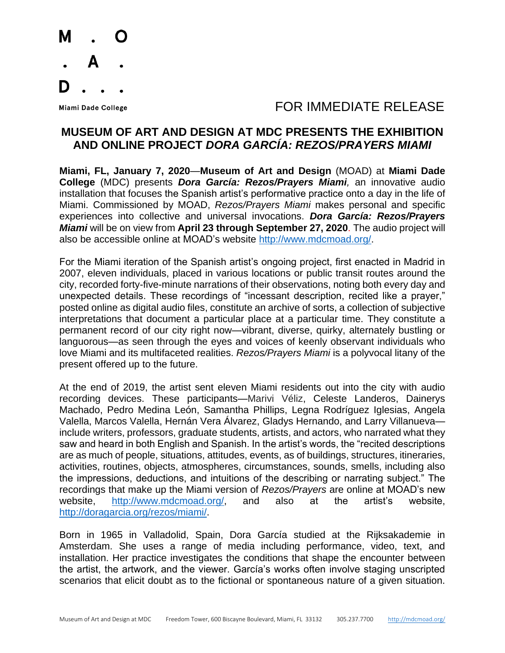

## Miami Dade College The Second Line of the Second Line of Table To Refer to Table To Release

## **MUSEUM OF ART AND DESIGN AT MDC PRESENTS THE EXHIBITION AND ONLINE PROJECT** *DORA GARCÍA: REZOS/PRAYERS MIAMI*

**Miami, FL, January 7, 2020**—**Museum of Art and Design** (MOAD) at **Miami Dade College** (MDC) presents *Dora García: Rezos/Prayers Miami,* an innovative audio installation that focuses the Spanish artist's performative practice onto a day in the life of Miami. Commissioned by MOAD, *Rezos/Prayers Miami* makes personal and specific experiences into collective and universal invocations. *Dora García: Rezos/Prayers Miami* will be on view from **April 23 through September 27, 2020**. The audio project will also be accessible online at MOAD's website [http://www.mdcmoad.org/.](http://www.mdcmoad.org/)

For the Miami iteration of the Spanish artist's ongoing project, first enacted in Madrid in 2007, eleven individuals, placed in various locations or public transit routes around the city, recorded forty-five-minute narrations of their observations, noting both every day and unexpected details. These recordings of "incessant description, recited like a prayer," posted online as digital audio files, constitute an archive of sorts, a collection of subjective interpretations that document a particular place at a particular time. They constitute a permanent record of our city right now—vibrant, diverse, quirky, alternately bustling or languorous—as seen through the eyes and voices of keenly observant individuals who love Miami and its multifaceted realities. *Rezos/Prayers Miami* is a polyvocal litany of the present offered up to the future.

At the end of 2019, the artist sent eleven Miami residents out into the city with audio recording devices. These participants—Marivi Véliz, Celeste Landeros, Dainerys Machado, Pedro Medina León, Samantha Phillips, Legna Rodríguez Iglesias, Angela Valella, Marcos Valella, Hernán Vera Álvarez, Gladys Hernando, and Larry Villanueva include writers, professors, graduate students, artists, and actors, who narrated what they saw and heard in both English and Spanish. In the artist's words, the "recited descriptions are as much of people, situations, attitudes, events, as of buildings, structures, itineraries, activities, routines, objects, atmospheres, circumstances, sounds, smells, including also the impressions, deductions, and intuitions of the describing or narrating subject." The recordings that make up the Miami version of *Rezos/Prayers* are online at MOAD's new website, [http://www.mdcmoad.org/,](http://www.mdcmoad.org/) and also at the artist's website, [http://doragarcia.org/rezos/miami/.](http://doragarcia.org/rezos/miami/)

Born in 1965 in Valladolid, Spain, Dora García studied at the Rijksakademie in Amsterdam. She uses a range of media including performance, video, text, and installation. Her practice investigates the conditions that shape the encounter between the artist, the artwork, and the viewer. García's works often involve staging unscripted scenarios that elicit doubt as to the fictional or spontaneous nature of a given situation.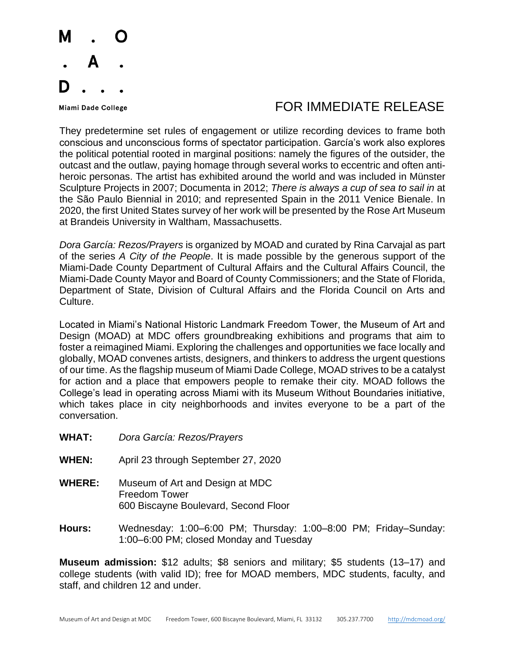

## Miami Dade College The Second Line of the Second Line of Table To Refer to Table To Release

They predetermine set rules of engagement or utilize recording devices to frame both conscious and unconscious forms of spectator participation. García's work also explores the political potential rooted in marginal positions: namely the figures of the outsider, the outcast and the outlaw, paying homage through several works to eccentric and often antiheroic personas. The artist has exhibited around the world and was included in Münster Sculpture Projects in 2007; Documenta in 2012; *There is always a cup of sea to sail in* at the São Paulo Biennial in 2010; and represented Spain in the 2011 Venice Bienale. In 2020, the first United States survey of her work will be presented by the Rose Art Museum at Brandeis University in Waltham, Massachusetts.

*Dora García: Rezos/Prayers* is organized by MOAD and curated by Rina Carvajal as part of the series *A City of the People*. It is made possible by the generous support of the Miami-Dade County Department of Cultural Affairs and the Cultural Affairs Council, the Miami-Dade County Mayor and Board of County Commissioners; and the State of Florida, Department of State, Division of Cultural Affairs and the Florida Council on Arts and Culture.

Located in Miami's National Historic Landmark Freedom Tower, the Museum of Art and Design (MOAD) at MDC offers groundbreaking exhibitions and programs that aim to foster a reimagined Miami. Exploring the challenges and opportunities we face locally and globally, MOAD convenes artists, designers, and thinkers to address the urgent questions of our time. As the flagship museum of Miami Dade College, MOAD strives to be a catalyst for action and a place that empowers people to remake their city. MOAD follows the College's lead in operating across Miami with its Museum Without Boundaries initiative, which takes place in city neighborhoods and invites everyone to be a part of the conversation.

- **WHAT:** *Dora García: Rezos/Prayers*
- **WHEN:** April 23 through September 27, 2020
- **WHERE:** Museum of Art and Design at MDC Freedom Tower 600 Biscayne Boulevard, Second Floor
- **Hours:** Wednesday: 1:00–6:00 PM; Thursday: 1:00–8:00 PM; Friday–Sunday: 1:00–6:00 PM; closed Monday and Tuesday

**Museum admission:** \$12 adults; \$8 seniors and military; \$5 students (13–17) and college students (with valid ID); free for MOAD members, MDC students, faculty, and staff, and children 12 and under.